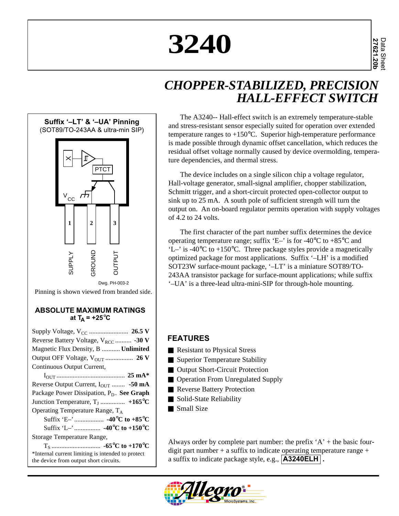# **3240**

## *CHOPPER-STABILIZED, PRECISION HALL-EFFECT SWITCH*



#### **ABSOLUTE MAXIMUM RATINGS** at  $T_A$  =  $+25^{\circ}C$

| Reverse Battery Voltage, $V_{RCC}$ -30 V              |
|-------------------------------------------------------|
| Magnetic Flux Density, B  Unlimited                   |
|                                                       |
| Continuous Output Current,                            |
|                                                       |
| Reverse Output Current, $I_{\text{OUT}}$ -50 mA       |
| Package Power Dissipation, P <sub>D</sub> . See Graph |
| Junction Temperature, $T_J$ +165°C                    |
| Operating Temperature Range, T <sub>A</sub>           |
|                                                       |
|                                                       |
| Storage Temperature Range,                            |
|                                                       |
| *Internal current limiting is intended to protect     |
| the device from output short circuits.                |

The A3240-- Hall-effect switch is an extremely temperature-stable and stress-resistant sensor especially suited for operation over extended temperature ranges to  $+150^{\circ}$ C. Superior high-temperature performance is made possible through dynamic offset cancellation, which reduces the residual offset voltage normally caused by device overmolding, temperature dependencies, and thermal stress.

The device includes on a single silicon chip a voltage regulator, Hall-voltage generator, small-signal amplifier, chopper stabilization, Schmitt trigger, and a short-circuit protected open-collector output to sink up to 25 mA. A south pole of sufficient strength will turn the output on. An on-board regulator permits operation with supply voltages of 4.2 to 24 volts.

The first character of the part number suffix determines the device operating temperature range; suffix 'E–' is for -40 $\degree$ C to +85 $\degree$ C and  $'L$ <sup>-</sup> is -40 $°C$  to +150 $°C$ . Three package styles provide a magnetically optimized package for most applications. Suffix '–LH' is a modified SOT23W surface-mount package, '–LT' is a miniature SOT89/TO-243AA transistor package for surface-mount applications; while suffix '–UA' is a three-lead ultra-mini-SIP for through-hole mounting.

## **FEATURES**

- Resistant to Physical Stress
- Superior Temperature Stability
- Output Short-Circuit Protection
- Operation From Unregulated Supply
- Reverse Battery Protection
- Solid-State Reliability
- Small Size

Always order by complete part number: the prefix  $A'$  + the basic fourdigit part number  $+$  a suffix to indicate operating temperature range  $+$ a suffix to indicate package style, e.g., **A3240ELH .**

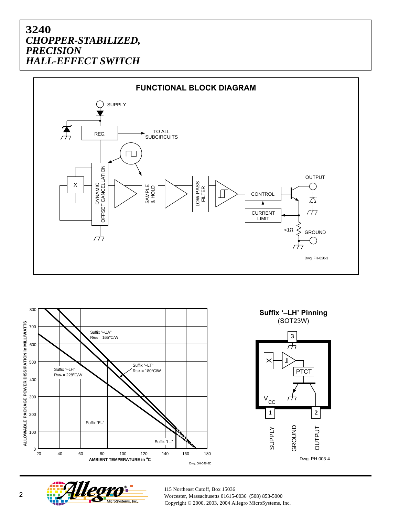





115 Northeast Cutoff, Box 15036  $\overline{2}$  Worcester, Massachusetts 01615-0036 (508) 853-5000 Copyright © 2000, 2003, 2004 Allegro MicroSystems, Inc.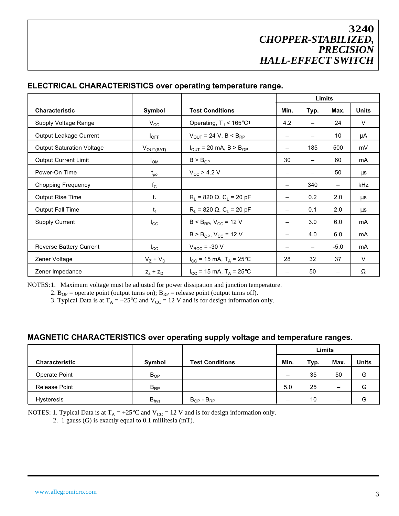|                                  |                       |                                               |                          | <b>Limits</b>            |                          |              |  |
|----------------------------------|-----------------------|-----------------------------------------------|--------------------------|--------------------------|--------------------------|--------------|--|
| <b>Characteristic</b>            | Symbol                | <b>Test Conditions</b>                        | Min.                     | Typ.                     | Max.                     | <b>Units</b> |  |
| Supply Voltage Range             | $V_{\rm CC}$          | Operating, $T_J < 165^{\circ}C_1$             | 4.2                      |                          | 24                       | $\vee$       |  |
| Output Leakage Current           | $I_{\text{OFF}}$      | $V_{OUT}$ = 24 V, B < B <sub>RP</sub>         |                          | -                        | 10                       | μA           |  |
| <b>Output Saturation Voltage</b> | $V_{\text{OUT(SAT)}}$ | $I_{OUT}$ = 20 mA, B > B <sub>OP</sub>        |                          | 185                      | 500                      | mV           |  |
| <b>Output Current Limit</b>      | $I_{OM}$              | $B > B_{OP}$                                  | 30                       | $\overline{\phantom{0}}$ | 60                       | mA           |  |
| Power-On Time                    | $t_{po}$              | $V_{CC}$ > 4.2 V                              | $\overline{\phantom{0}}$ |                          | 50                       | μs           |  |
| <b>Chopping Frequency</b>        | $f_{\rm C}$           |                                               |                          | 340                      | $\qquad \qquad -$        | kHz          |  |
| Output Rise Time                 | $t_r$                 | $R_L$ = 820 $\Omega$ , C <sub>L</sub> = 20 pF |                          | 0.2                      | 2.0                      | μs           |  |
| <b>Output Fall Time</b>          | $t_f$                 | $R_L$ = 820 $\Omega$ , C <sub>L</sub> = 20 pF | $\overline{\phantom{0}}$ | 0.1                      | 2.0                      | μs           |  |
| <b>Supply Current</b>            | $I_{\rm CC}$          | $B < B_{RP}$ , $V_{CC} = 12 V$                |                          | 3.0                      | 6.0                      | mA           |  |
|                                  |                       | $B > B_{OP}$ , $V_{CC} = 12 V$                | -                        | 4.0                      | 6.0                      | mA           |  |
| Reverse Battery Current          | $I_{\rm CC}$          | $V_{RCC}$ = -30 V                             |                          | -                        | $-5.0$                   | mA           |  |
| Zener Voltage                    | $V_Z + V_D$           | $I_{CC}$ = 15 mA, T <sub>A</sub> = 25°C       | 28                       | 32                       | 37                       | V            |  |
| Zener Impedance                  | $Z_z$ + $Z_D$         | $I_{CC}$ = 15 mA, T <sub>A</sub> = 25°C       |                          | 50                       | $\overline{\phantom{m}}$ | Ω            |  |

#### **ELECTRICAL CHARACTERISTICS over operating temperature range.**

NOTES:1. Maximum voltage must be adjusted for power dissipation and junction temperature.

2.  $B_{OP}$  = operate point (output turns on);  $B_{RP}$  = release point (output turns off).

3. Typical Data is at  $T_A = +25^{\circ}\text{C}$  and  $V_{CC} = 12 \text{ V}$  and is for design information only.

#### **MAGNETIC CHARACTERISTICS over operating supply voltage and temperature ranges.**

|                       |           |                        | Limits |      |                          |       |
|-----------------------|-----------|------------------------|--------|------|--------------------------|-------|
| <b>Characteristic</b> | Symbol    | <b>Test Conditions</b> | Min.   | Typ. | Max.                     | Units |
| Operate Point         | $B_{OP}$  |                        |        | 35   | 50                       | G     |
| <b>Release Point</b>  | $B_{RP}$  |                        | 5.0    | 25   | $\overline{\phantom{0}}$ | G     |
| <b>Hysteresis</b>     | $B_{hys}$ | $B_{OP} - B_{RP}$      |        | 10   | $\overline{\phantom{0}}$ | G     |

NOTES: 1. Typical Data is at  $T_A = +25^{\circ}C$  and  $V_{CC} = 12$  V and is for design information only.

2. 1 gauss (G) is exactly equal to 0.1 millitesla (mT).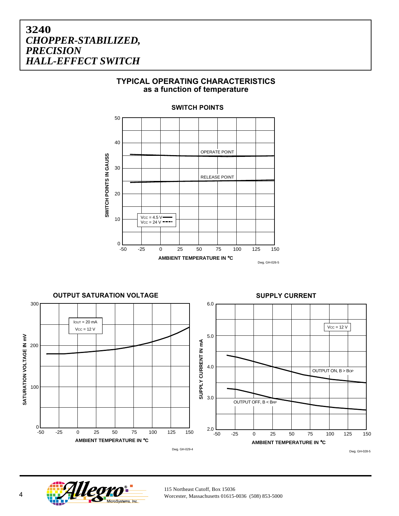#### **TYPICAL OPERATING CHARACTERISTICS as a function of temperature**



**SWITCH POINTS**

**OUTPUT SATURATION VOLTAGE SUPPLY CURRENT** 300 6.0  $I$ OUT = 20 mA  $Vcc = 12 V$  $Vcc = 12 V$ SATURATION VOLTAGE IN mV 5.0 **SATURATION VOLTAGE IN mV** SUPPLY CURRENT IN mA **SUPPLY CURRENT IN mA** 200 4.0 OUTPUT ON, B > BOP 100 3.0 OUTPUT OFF, B < BRP 0 2.0 -50 -25 0 25 50 75 100 125 150 0 25 50 75 100 -50 0 25 50 75 100 -25 0 25 50 75 100 125 150 **AMBIENT TEMPERATURE IN** °**C AMBIENT TEMPERATURE IN** °**C** Dwg. GH-029-4 Dwg. GH-028-5



115 Northeast Cutoff, Box 15036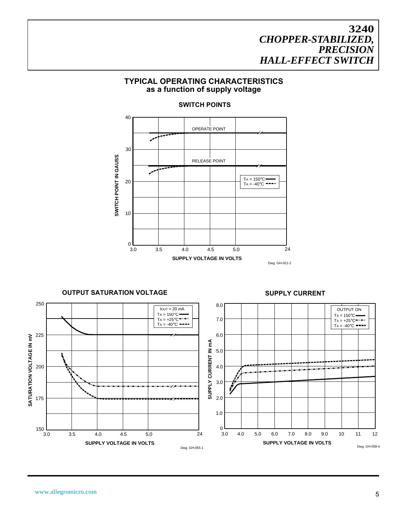#### **TYPICAL OPERATING CHARACTERISTICS as a function of supply voltage**

#### 40 OPERATE POINT 30 SWITCH POINT IN GAUSS **SWITCH POINT IN GAUSS** RELEASE POINT سمم  $TA = 150^{\circ}C$ 20  $TA = -40^{\circ}C = -$ 10 0 3.0 3.5 4.0 4.5 5.0 24 **SUPPLY VOLTAGE IN VOLTS** Dwg. GH-021-2

#### **SWITCH POINTS**

 $I$ out = 20 mA 250



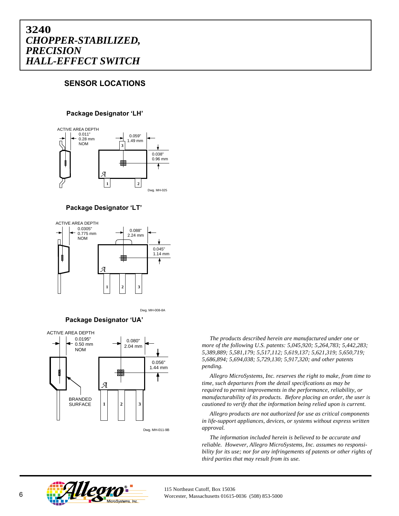## **SENSOR LOCATIONS**

#### **Package Designator 'LH'**



**Package Designator 'LT'**



Dwg. MH-008-8A

**Package Designator 'UA'**



Dwg. MH-011-9B

*Allegropa Compare 6 following U.S. patents: 5,045,920; 5,264,783; 5,442,283*<br>5,389,889; 5,581,179; 5,517,112; 5,619,137; 5,621,319; 5,650,719;<br>5,686,804, 5,604,028, 5,730,120,5,017,320,11,11,11,11,11 *The products described herein are manufactured under one or more of the following U.S. patents: 5,045,920; 5,264,783; 5,442,283; 5,686,894; 5,694,038; 5,729,130; 5,917,320; and other patents pending.*

*Allegro MicroSystems, Inc. reserves the right to make, from time to time, such departures from the detail specifications as may be required to permit improvements in the performance, reliability, or manufacturability of its products. Before placing an order, the user is cautioned to verify that the information being relied upon is current.*

*Allegro products are not authorized for use as critical components in life-support appliances, devices, or systems without express written approval.*

*The information included herein is believed to be accurate and reliable. However, Allegro MicroSystems, Inc. assumes no responsibility for its use; nor for any infringements of patents or other rights of third parties that may result from its use.*



115 Northeast Cutoff, Box 15036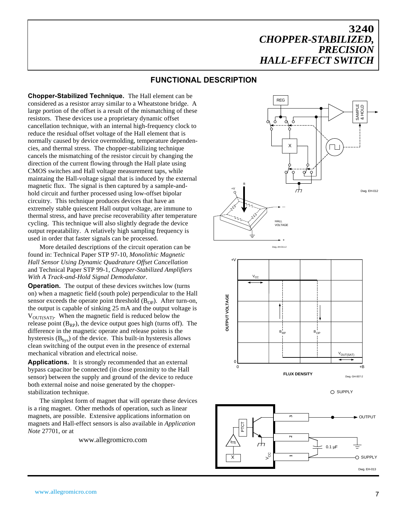#### **FUNCTIONAL DESCRIPTION**

**Chopper-Stabilized Technique.** The Hall element can be considered as a resistor array similar to a Wheatstone bridge. A large portion of the offset is a result of the mismatching of these resistors. These devices use a proprietary dynamic offset cancellation technique, with an internal high-frequency clock to reduce the residual offset voltage of the Hall element that is normally caused by device overmolding, temperature dependencies, and thermal stress. The chopper-stabilizing technique cancels the mismatching of the resistor circuit by changing the direction of the current flowing through the Hall plate using CMOS switches and Hall voltage measurement taps, while maintaing the Hall-voltage signal that is induced by the external magnetic flux. The signal is then captured by a sample-andhold circuit and further processed using low-offset bipolar circuitry. This technique produces devices that have an extremely stable quiescent Hall output voltage, are immune to thermal stress, and have precise recoverability after temperature cycling. This technique will also slightly degrade the device output repeatability. A relatively high sampling frequency is used in order that faster signals can be processed.

More detailed descriptions of the circuit operation can be found in: Technical Paper STP 97-10, *Monolithic Magnetic Hall Sensor Using Dynamic Quadrature Offset Cancellation* and Technical Paper STP 99-1, *Chopper-Stabilized Amplifiers With A Track-and-Hold Signal Demodulator*.

**Operation.** The output of these devices switches low (turns on) when a magnetic field (south pole) perpendicular to the Hall sensor exceeds the operate point threshold  $(B_{OP})$ . After turn-on, the output is capable of sinking 25 mA and the output voltage is  $V_{\text{OUT(SAT)}}$ . When the magnetic field is reduced below the release point  $(B_{RP})$ , the device output goes high (turns off). The difference in the magnetic operate and release points is the hysteresis  $(B<sub>hys</sub>)$  of the device. This built-in hysteresis allows clean switching of the output even in the presence of external mechanical vibration and electrical noise.

**Applications.** It is strongly recommended that an external bypass capacitor be connected (in close proximity to the Hall sensor) between the supply and ground of the device to reduce both external noise and noise generated by the chopperstabilization technique.

The simplest form of magnet that will operate these devices is a ring magnet. Other methods of operation, such as linear magnets, are possible. Extensive applications information on magnets and Hall-effect sensors is also available in *Application Note* 27701, or at

www.allegromicro.com







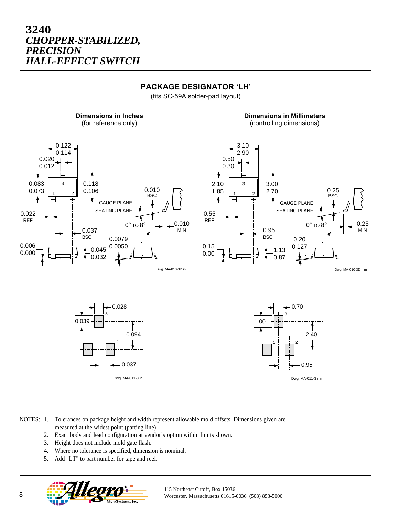### **PACKAGE DESIGNATOR 'LH'**

(fits SC-59A solder-pad layout)

**Dimensions in Inches** (for reference only)

**Dimensions in Millimeters** (controlling dimensions)









- NOTES: 1. Tolerances on package height and width represent allowable mold offsets. Dimensions given are measured at the widest point (parting line).
	- 2. Exact body and lead configuration at vendor's option within limits shown.
	- 3. Height does not include mold gate flash.
	- 4. Where no tolerance is specified, dimension is nominal.
	- 5. Add "LT" to part number for tape and reel.



115 Northeast Cutoff, Box 15036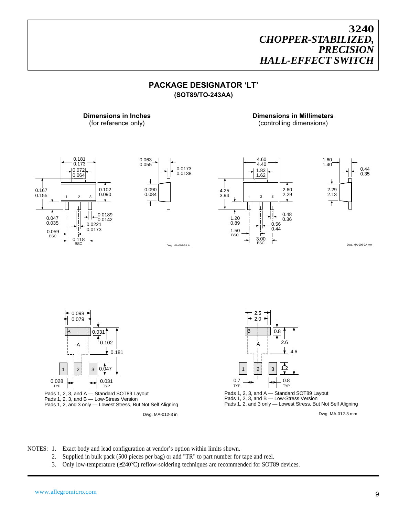#### **PACKAGE DESIGNATOR 'LT' (SOT89/TO-243AA)**

**Dimensions in Millimeters** (controlling dimensions)



**Dimensions in Inches** (for reference only)



Dwg. MA-009-3A in





Dwg. MA-009-3A mm



NOTES: 1. Exact body and lead configuration at vendor's option within limits shown.

- 2. Supplied in bulk pack (500 pieces per bag) or add "TR" to part number for tape and reel.
- 3. Only low-temperature (≤240°C) reflow-soldering techniques are recommended for SOT89 devices.